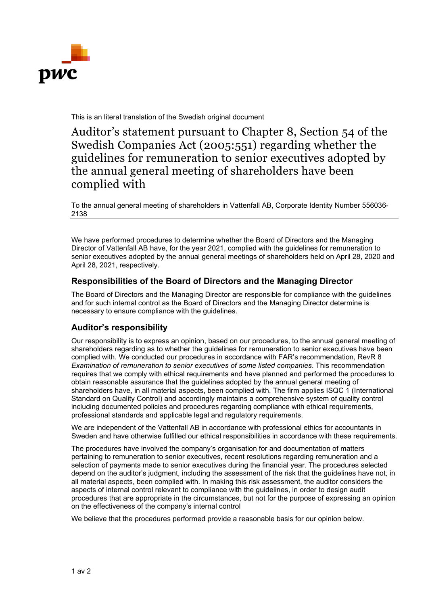

This is an literal translation of the Swedish original document

Auditor's statement pursuant to Chapter 8, Section 54 of the Swedish Companies Act (2005:551) regarding whether the guidelines for remuneration to senior executives adopted by the annual general meeting of shareholders have been complied with

To the annual general meeting of shareholders in Vattenfall AB, Corporate Identity Number 556036- 2138

We have performed procedures to determine whether the Board of Directors and the Managing Director of Vattenfall AB have, for the year 2021, complied with the guidelines for remuneration to senior executives adopted by the annual general meetings of shareholders held on April 28, 2020 and April 28, 2021, respectively.

## **Responsibilities of the Board of Directors and the Managing Director**

The Board of Directors and the Managing Director are responsible for compliance with the guidelines and for such internal control as the Board of Directors and the Managing Director determine is necessary to ensure compliance with the guidelines.

## **Auditor's responsibility**

Our responsibility is to express an opinion, based on our procedures, to the annual general meeting of shareholders regarding as to whether the guidelines for remuneration to senior executives have been complied with. We conducted our procedures in accordance with FAR's recommendation, RevR 8 *Examination of remuneration to senior executives of some listed companies*. This recommendation requires that we comply with ethical requirements and have planned and performed the procedures to obtain reasonable assurance that the guidelines adopted by the annual general meeting of shareholders have, in all material aspects, been complied with. The firm applies ISQC 1 (International Standard on Quality Control) and accordingly maintains a comprehensive system of quality control including documented policies and procedures regarding compliance with ethical requirements, professional standards and applicable legal and regulatory requirements.

We are independent of the Vattenfall AB in accordance with professional ethics for accountants in Sweden and have otherwise fulfilled our ethical responsibilities in accordance with these requirements.

The procedures have involved the company's organisation for and documentation of matters pertaining to remuneration to senior executives, recent resolutions regarding remuneration and a selection of payments made to senior executives during the financial year. The procedures selected depend on the auditor's judgment, including the assessment of the risk that the guidelines have not, in all material aspects, been complied with. In making this risk assessment, the auditor considers the aspects of internal control relevant to compliance with the guidelines, in order to design audit procedures that are appropriate in the circumstances, but not for the purpose of expressing an opinion on the effectiveness of the company's internal control

We believe that the procedures performed provide a reasonable basis for our opinion below.